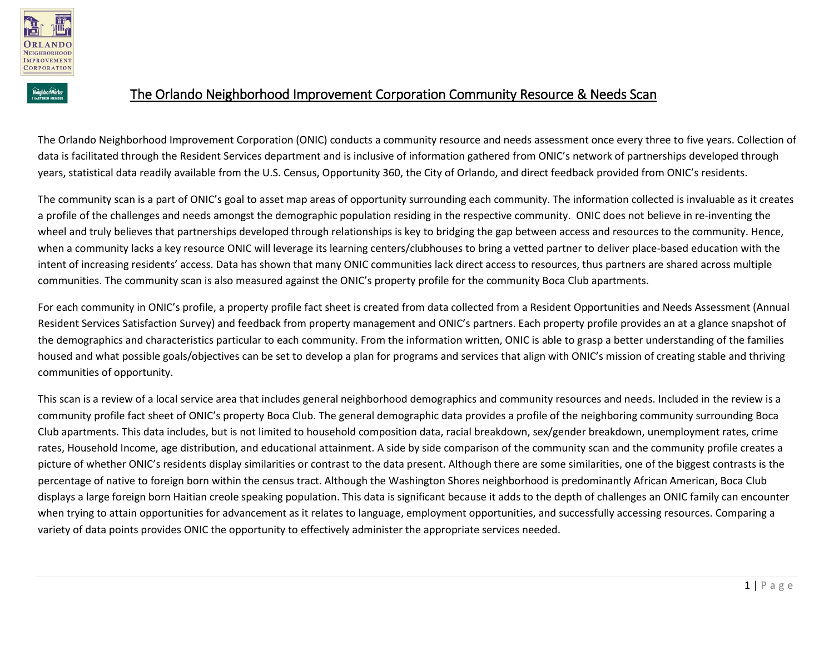



The Orlando Neighborhood Improvement Corporation (ONIC) conducts a community resource and needs assessment once every three to five years. Collection of data is facilitated through the Resident Services department and is inclusive of information gathered from ONIC's network of partnerships developed through years, statistical data readily available from the U.S. Census, Opportunity 360, the City of Orlando, and direct feedback provided from ONIC's residents.

The community scan is a part of ONIC's goal to asset map areas of opportunity surrounding each community. The information collected is invaluable as it creates a profile of the challenges and needs amongst the demographic population residing in the respective community. ONIC does not believe in re-inventing the wheel and truly believes that partnerships developed through relationships is key to bridging the gap between access and resources to the community. Hence, when a community lacks a key resource ONIC will leverage its learning centers/clubhouses to bring a vetted partner to deliver place-based education with the intent of increasing residents' access. Data has shown that many ONIC communities lack direct access to resources, thus partners are shared across multiple communities. The community scan is also measured against the ONIC's property profile for the community Boca Club apartments.

For each community in ONIC's profile, a property profile fact sheet is created from data collected from a Resident Opportunities and Needs Assessment (Annual Resident Services Satisfaction Survey) and feedback from property management and ONIC's partners. Each property profile provides an at a glance snapshot of the demographics and characteristics particular to each community. From the information written, ONIC is able to grasp a better understanding of the families housed and what possible goals/objectives can be set to develop a plan for programs and services that align with ONIC's mission of creating stable and thriving communities of opportunity.

This scan is a review of a local service area that includes general neighborhood demographics and community resources and needs. Included in the review is a community profile fact sheet of ONIC's property Boca Club. The general demographic data provides a profile of the neighboring community surrounding Boca Club apartments. This data includes, but is not limited to household composition data, racial breakdown, sex/gender breakdown, unemployment rates, crime rates, Household Income, age distribution, and educational attainment. A side by side comparison of the community scan and the community profile creates a picture of whether ONIC's residents display similarities or contrast to the data present. Although there are some similarities, one of the biggest contrasts is the percentage of native to foreign born within the census tract. Although the Washington Shores neighborhood is predominantly African American, Boca Club displays a large foreign born Haitian creole speaking population. This data is significant because it adds to the depth of challenges an ONIC family can encounter when trying to attain opportunities for advancement as it relates to language, employment opportunities, and successfully accessing resources. Comparing a variety of data points provides ONIC the opportunity to effectively administer the appropriate services needed.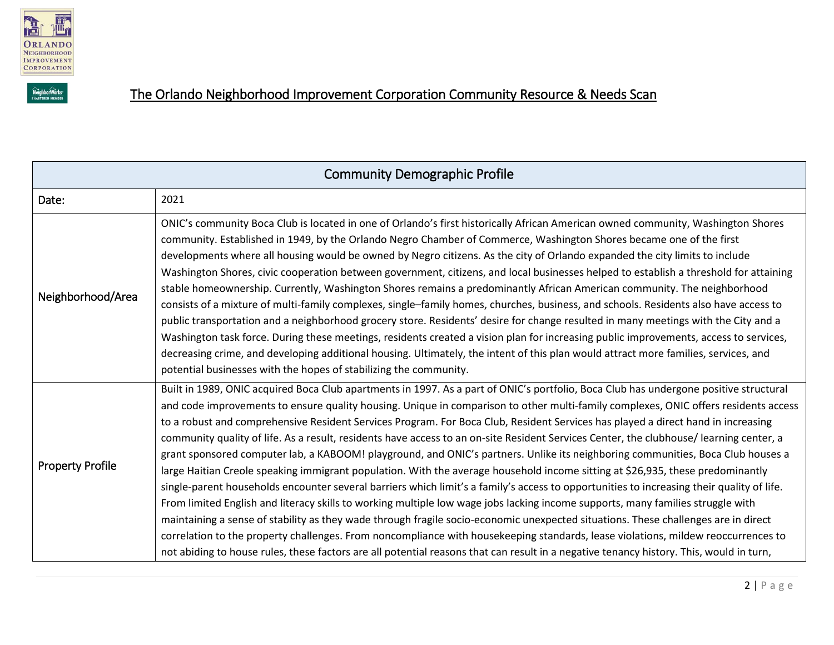



# The Orlando Neighborhood Improvement Corporation Community Resource & Needs Scan

| <b>Community Demographic Profile</b> |                                                                                                                                                                                                                                                                                                                                                                                                                                                                                                                                                                                                                                                                                                                                                                                                                                                                                                                                                                                                                                                                                                                                                                                                                                                                                                                                                                                                                                                                                                                                       |  |
|--------------------------------------|---------------------------------------------------------------------------------------------------------------------------------------------------------------------------------------------------------------------------------------------------------------------------------------------------------------------------------------------------------------------------------------------------------------------------------------------------------------------------------------------------------------------------------------------------------------------------------------------------------------------------------------------------------------------------------------------------------------------------------------------------------------------------------------------------------------------------------------------------------------------------------------------------------------------------------------------------------------------------------------------------------------------------------------------------------------------------------------------------------------------------------------------------------------------------------------------------------------------------------------------------------------------------------------------------------------------------------------------------------------------------------------------------------------------------------------------------------------------------------------------------------------------------------------|--|
| Date:                                | 2021                                                                                                                                                                                                                                                                                                                                                                                                                                                                                                                                                                                                                                                                                                                                                                                                                                                                                                                                                                                                                                                                                                                                                                                                                                                                                                                                                                                                                                                                                                                                  |  |
| Neighborhood/Area                    | ONIC's community Boca Club is located in one of Orlando's first historically African American owned community, Washington Shores<br>community. Established in 1949, by the Orlando Negro Chamber of Commerce, Washington Shores became one of the first<br>developments where all housing would be owned by Negro citizens. As the city of Orlando expanded the city limits to include<br>Washington Shores, civic cooperation between government, citizens, and local businesses helped to establish a threshold for attaining<br>stable homeownership. Currently, Washington Shores remains a predominantly African American community. The neighborhood<br>consists of a mixture of multi-family complexes, single-family homes, churches, business, and schools. Residents also have access to<br>public transportation and a neighborhood grocery store. Residents' desire for change resulted in many meetings with the City and a<br>Washington task force. During these meetings, residents created a vision plan for increasing public improvements, access to services,<br>decreasing crime, and developing additional housing. Ultimately, the intent of this plan would attract more families, services, and<br>potential businesses with the hopes of stabilizing the community.                                                                                                                                                                                                                                         |  |
| <b>Property Profile</b>              | Built in 1989, ONIC acquired Boca Club apartments in 1997. As a part of ONIC's portfolio, Boca Club has undergone positive structural<br>and code improvements to ensure quality housing. Unique in comparison to other multi-family complexes, ONIC offers residents access<br>to a robust and comprehensive Resident Services Program. For Boca Club, Resident Services has played a direct hand in increasing<br>community quality of life. As a result, residents have access to an on-site Resident Services Center, the clubhouse/learning center, a<br>grant sponsored computer lab, a KABOOM! playground, and ONIC's partners. Unlike its neighboring communities, Boca Club houses a<br>large Haitian Creole speaking immigrant population. With the average household income sitting at \$26,935, these predominantly<br>single-parent households encounter several barriers which limit's a family's access to opportunities to increasing their quality of life.<br>From limited English and literacy skills to working multiple low wage jobs lacking income supports, many families struggle with<br>maintaining a sense of stability as they wade through fragile socio-economic unexpected situations. These challenges are in direct<br>correlation to the property challenges. From noncompliance with housekeeping standards, lease violations, mildew reoccurrences to<br>not abiding to house rules, these factors are all potential reasons that can result in a negative tenancy history. This, would in turn, |  |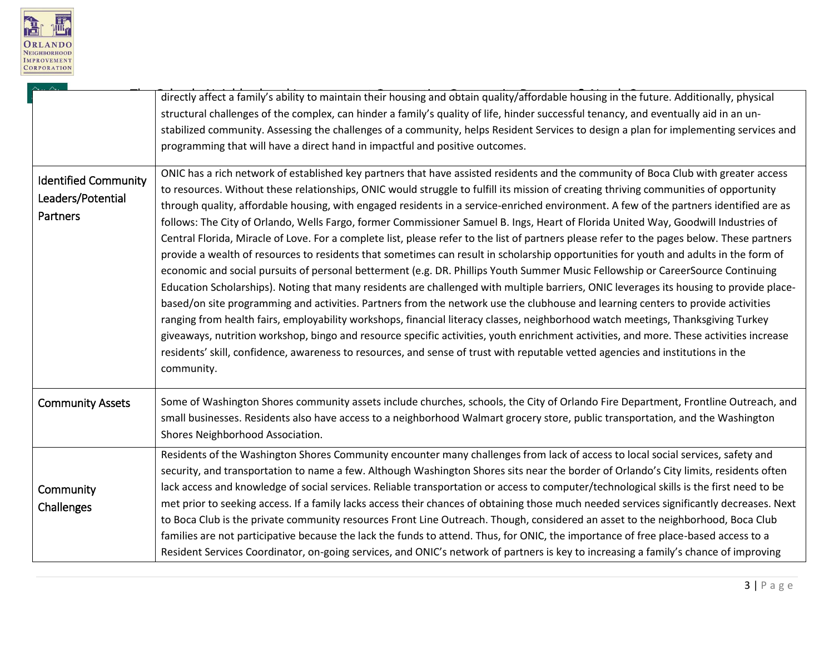

|                                                              | directly affect a family's ability to maintain their housing and obtain quality/affordable housing in the future. Additionally, physical<br>structural challenges of the complex, can hinder a family's quality of life, hinder successful tenancy, and eventually aid in an un-<br>stabilized community. Assessing the challenges of a community, helps Resident Services to design a plan for implementing services and<br>programming that will have a direct hand in impactful and positive outcomes.                                                                                                                                                                                                                                                                                                                                                                                                                                                                                                                                                                                                                                                                                                                                                                                                                                                                                                                                                                                                                                                                                                                                                                                              |
|--------------------------------------------------------------|--------------------------------------------------------------------------------------------------------------------------------------------------------------------------------------------------------------------------------------------------------------------------------------------------------------------------------------------------------------------------------------------------------------------------------------------------------------------------------------------------------------------------------------------------------------------------------------------------------------------------------------------------------------------------------------------------------------------------------------------------------------------------------------------------------------------------------------------------------------------------------------------------------------------------------------------------------------------------------------------------------------------------------------------------------------------------------------------------------------------------------------------------------------------------------------------------------------------------------------------------------------------------------------------------------------------------------------------------------------------------------------------------------------------------------------------------------------------------------------------------------------------------------------------------------------------------------------------------------------------------------------------------------------------------------------------------------|
| <b>Identified Community</b><br>Leaders/Potential<br>Partners | ONIC has a rich network of established key partners that have assisted residents and the community of Boca Club with greater access<br>to resources. Without these relationships, ONIC would struggle to fulfill its mission of creating thriving communities of opportunity<br>through quality, affordable housing, with engaged residents in a service-enriched environment. A few of the partners identified are as<br>follows: The City of Orlando, Wells Fargo, former Commissioner Samuel B. Ings, Heart of Florida United Way, Goodwill Industries of<br>Central Florida, Miracle of Love. For a complete list, please refer to the list of partners please refer to the pages below. These partners<br>provide a wealth of resources to residents that sometimes can result in scholarship opportunities for youth and adults in the form of<br>economic and social pursuits of personal betterment (e.g. DR. Phillips Youth Summer Music Fellowship or CareerSource Continuing<br>Education Scholarships). Noting that many residents are challenged with multiple barriers, ONIC leverages its housing to provide place-<br>based/on site programming and activities. Partners from the network use the clubhouse and learning centers to provide activities<br>ranging from health fairs, employability workshops, financial literacy classes, neighborhood watch meetings, Thanksgiving Turkey<br>giveaways, nutrition workshop, bingo and resource specific activities, youth enrichment activities, and more. These activities increase<br>residents' skill, confidence, awareness to resources, and sense of trust with reputable vetted agencies and institutions in the<br>community. |
| <b>Community Assets</b>                                      | Some of Washington Shores community assets include churches, schools, the City of Orlando Fire Department, Frontline Outreach, and<br>small businesses. Residents also have access to a neighborhood Walmart grocery store, public transportation, and the Washington<br>Shores Neighborhood Association.                                                                                                                                                                                                                                                                                                                                                                                                                                                                                                                                                                                                                                                                                                                                                                                                                                                                                                                                                                                                                                                                                                                                                                                                                                                                                                                                                                                              |
| Community<br>Challenges                                      | Residents of the Washington Shores Community encounter many challenges from lack of access to local social services, safety and<br>security, and transportation to name a few. Although Washington Shores sits near the border of Orlando's City limits, residents often<br>lack access and knowledge of social services. Reliable transportation or access to computer/technological skills is the first need to be<br>met prior to seeking access. If a family lacks access their chances of obtaining those much needed services significantly decreases. Next<br>to Boca Club is the private community resources Front Line Outreach. Though, considered an asset to the neighborhood, Boca Club<br>families are not participative because the lack the funds to attend. Thus, for ONIC, the importance of free place-based access to a<br>Resident Services Coordinator, on-going services, and ONIC's network of partners is key to increasing a family's chance of improving                                                                                                                                                                                                                                                                                                                                                                                                                                                                                                                                                                                                                                                                                                                    |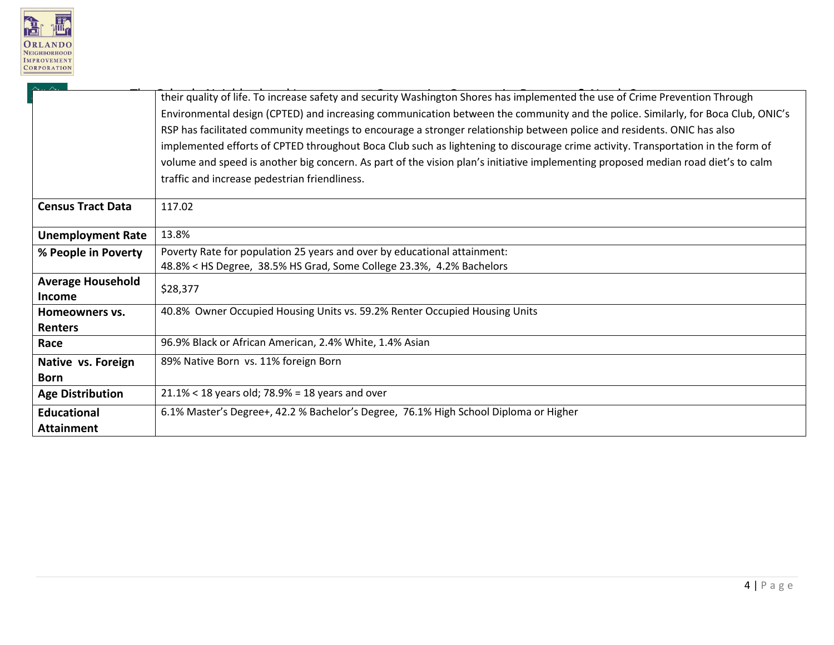

 $\scriptstyle\sim$ 

|                          | their quality of life. To increase safety and security Washington Shores has implemented the use of Crime Prevention Through      |
|--------------------------|-----------------------------------------------------------------------------------------------------------------------------------|
|                          | Environmental design (CPTED) and increasing communication between the community and the police. Similarly, for Boca Club, ONIC's  |
|                          | RSP has facilitated community meetings to encourage a stronger relationship between police and residents. ONIC has also           |
|                          | implemented efforts of CPTED throughout Boca Club such as lightening to discourage crime activity. Transportation in the form of  |
|                          | volume and speed is another big concern. As part of the vision plan's initiative implementing proposed median road diet's to calm |
|                          | traffic and increase pedestrian friendliness.                                                                                     |
| <b>Census Tract Data</b> | 117.02                                                                                                                            |
| <b>Unemployment Rate</b> | 13.8%                                                                                                                             |
| % People in Poverty      | Poverty Rate for population 25 years and over by educational attainment:                                                          |
|                          | 48.8% < HS Degree, 38.5% HS Grad, Some College 23.3%, 4.2% Bachelors                                                              |
| <b>Average Household</b> | \$28,377                                                                                                                          |
| <b>Income</b>            |                                                                                                                                   |
| Homeowners vs.           | 40.8% Owner Occupied Housing Units vs. 59.2% Renter Occupied Housing Units                                                        |
| <b>Renters</b>           |                                                                                                                                   |
| Race                     | 96.9% Black or African American, 2.4% White, 1.4% Asian                                                                           |
| Native vs. Foreign       | 89% Native Born vs. 11% foreign Born                                                                                              |
| <b>Born</b>              |                                                                                                                                   |
| <b>Age Distribution</b>  | $21.1\% < 18$ years old; 78.9% = 18 years and over                                                                                |
| <b>Educational</b>       | 6.1% Master's Degree+, 42.2 % Bachelor's Degree, 76.1% High School Diploma or Higher                                              |
| <b>Attainment</b>        |                                                                                                                                   |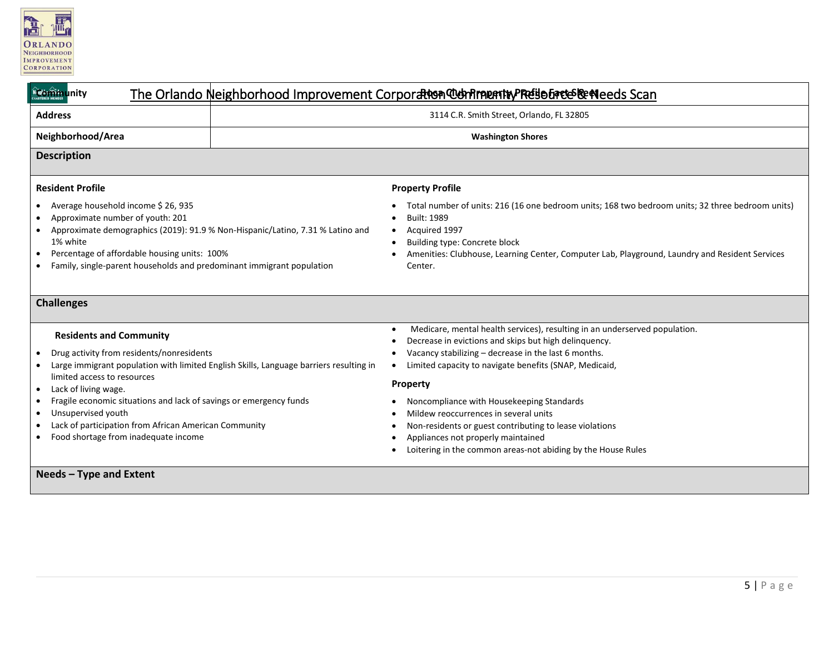

| <b>Ngorîna</b> unity                                                                                                                                                                                                                                                                                                                                                                                                                             | The Orlando Neighborhood Improvement Corporation Comment by Reise Enter Serveds Scan                                                                                                                                                                                                                                                                                                                                                                                                                                     |
|--------------------------------------------------------------------------------------------------------------------------------------------------------------------------------------------------------------------------------------------------------------------------------------------------------------------------------------------------------------------------------------------------------------------------------------------------|--------------------------------------------------------------------------------------------------------------------------------------------------------------------------------------------------------------------------------------------------------------------------------------------------------------------------------------------------------------------------------------------------------------------------------------------------------------------------------------------------------------------------|
| <b>Address</b>                                                                                                                                                                                                                                                                                                                                                                                                                                   | 3114 C.R. Smith Street, Orlando, FL 32805                                                                                                                                                                                                                                                                                                                                                                                                                                                                                |
| Neighborhood/Area                                                                                                                                                                                                                                                                                                                                                                                                                                | <b>Washington Shores</b>                                                                                                                                                                                                                                                                                                                                                                                                                                                                                                 |
| <b>Description</b>                                                                                                                                                                                                                                                                                                                                                                                                                               |                                                                                                                                                                                                                                                                                                                                                                                                                                                                                                                          |
| <b>Resident Profile</b>                                                                                                                                                                                                                                                                                                                                                                                                                          | <b>Property Profile</b>                                                                                                                                                                                                                                                                                                                                                                                                                                                                                                  |
| Average household income \$26,935<br>Approximate number of youth: 201<br>Approximate demographics (2019): 91.9 % Non-Hispanic/Latino, 7.31 % Latino and<br>1% white<br>Percentage of affordable housing units: 100%<br>٠<br>Family, single-parent households and predominant immigrant population                                                                                                                                                | Total number of units: 216 (16 one bedroom units; 168 two bedroom units; 32 three bedroom units)<br><b>Built: 1989</b><br>Acquired 1997<br>Building type: Concrete block<br>Amenities: Clubhouse, Learning Center, Computer Lab, Playground, Laundry and Resident Services<br>Center.                                                                                                                                                                                                                                    |
| <b>Challenges</b>                                                                                                                                                                                                                                                                                                                                                                                                                                |                                                                                                                                                                                                                                                                                                                                                                                                                                                                                                                          |
| <b>Residents and Community</b><br>Drug activity from residents/nonresidents<br>$\bullet$<br>Large immigrant population with limited English Skills, Language barriers resulting in<br>limited access to resources<br>Lack of living wage.<br>٠<br>Fragile economic situations and lack of savings or emergency funds<br>Unsupervised youth<br>٠<br>Lack of participation from African American Community<br>Food shortage from inadequate income | Medicare, mental health services), resulting in an underserved population.<br>Decrease in evictions and skips but high delinquency.<br>Vacancy stabilizing - decrease in the last 6 months.<br>Limited capacity to navigate benefits (SNAP, Medicaid,<br>Property<br>Noncompliance with Housekeeping Standards<br>Mildew reoccurrences in several units<br>Non-residents or guest contributing to lease violations<br>Appliances not properly maintained<br>Loitering in the common areas-not abiding by the House Rules |
| Needs - Type and Extent                                                                                                                                                                                                                                                                                                                                                                                                                          |                                                                                                                                                                                                                                                                                                                                                                                                                                                                                                                          |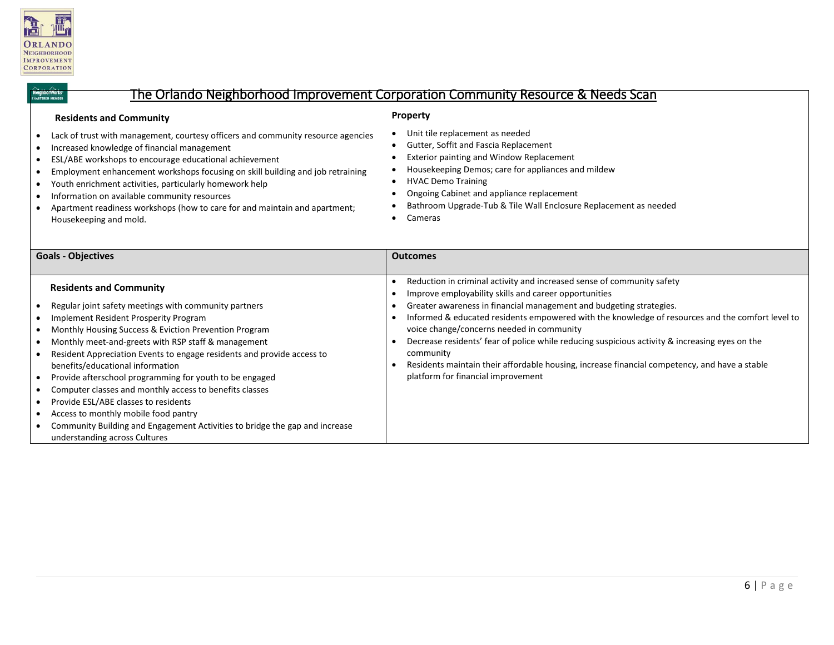

**borWorks**<br>Red Member

#### The Orlando Neighborhood Improvement Corporation Community Resource & Needs Scan

#### **Residents and Community**

#### **Property**

- Lack of trust with management, courtesy officers and community resource agencies
- Increased knowledge of financial management
- ESL/ABE workshops to encourage educational achievement
- Employment enhancement workshops focusing on skill building and job retraining
- Youth enrichment activities, particularly homework help
- Information on available community resources
- Apartment readiness workshops (how to care for and maintain and apartment; Housekeeping and mold.
- Unit tile replacement as needed
- Gutter, Soffit and Fascia Replacement
- Exterior painting and Window Replacement
- Housekeeping Demos; care for appliances and mildew
- HVAC Demo Training
- Ongoing Cabinet and appliance replacement
- Bathroom Upgrade-Tub & Tile Wall Enclosure Replacement as needed
- Cameras

| <b>Goals - Objectives</b>                                                                                                                                                                                                                                                                                                                                                                                                                                                                                                                                                                                                                                                                                                | <b>Outcomes</b>                                                                                                                                                                                                                                                                                                                                                                                                                                                                                                                                                                                               |
|--------------------------------------------------------------------------------------------------------------------------------------------------------------------------------------------------------------------------------------------------------------------------------------------------------------------------------------------------------------------------------------------------------------------------------------------------------------------------------------------------------------------------------------------------------------------------------------------------------------------------------------------------------------------------------------------------------------------------|---------------------------------------------------------------------------------------------------------------------------------------------------------------------------------------------------------------------------------------------------------------------------------------------------------------------------------------------------------------------------------------------------------------------------------------------------------------------------------------------------------------------------------------------------------------------------------------------------------------|
|                                                                                                                                                                                                                                                                                                                                                                                                                                                                                                                                                                                                                                                                                                                          |                                                                                                                                                                                                                                                                                                                                                                                                                                                                                                                                                                                                               |
| <b>Residents and Community</b><br>Regular joint safety meetings with community partners<br>Implement Resident Prosperity Program<br>٠<br>• Monthly Housing Success & Eviction Prevention Program<br>Monthly meet-and-greets with RSP staff & management<br>٠<br>Resident Appreciation Events to engage residents and provide access to<br>$\bullet$<br>benefits/educational information<br>• Provide afterschool programming for youth to be engaged<br>• Computer classes and monthly access to benefits classes<br>Provide ESL/ABE classes to residents<br>Access to monthly mobile food pantry<br>٠<br>• Community Building and Engagement Activities to bridge the gap and increase<br>understanding across Cultures | Reduction in criminal activity and increased sense of community safety<br>Improve employability skills and career opportunities<br>Greater awareness in financial management and budgeting strategies.<br>Informed & educated residents empowered with the knowledge of resources and the comfort level to<br>voice change/concerns needed in community<br>Decrease residents' fear of police while reducing suspicious activity & increasing eyes on the<br>community<br>Residents maintain their affordable housing, increase financial competency, and have a stable<br>platform for financial improvement |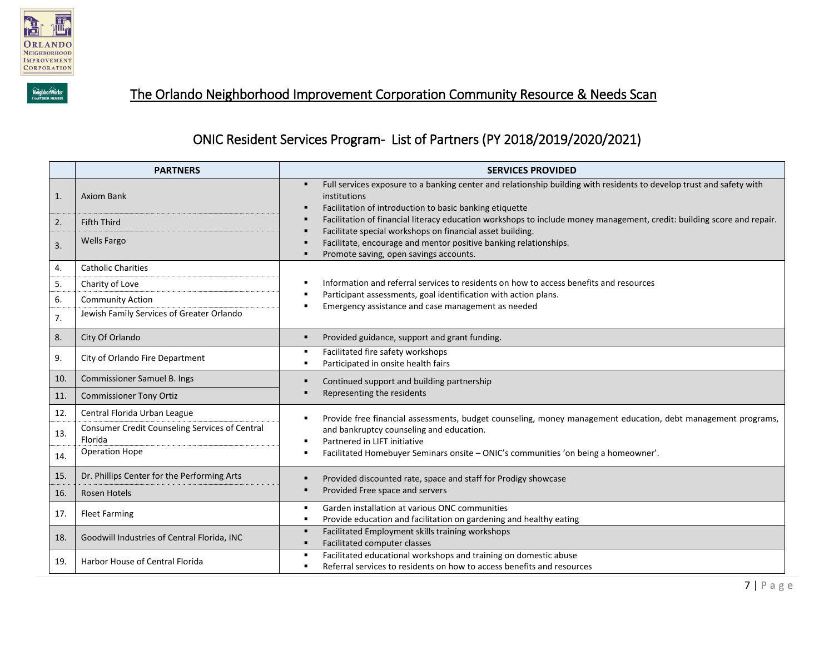



## The Orlando Neighborhood Improvement Corporation Community Resource & Needs Scan

### ONIC Resident Services Program- List of Partners (PY 2018/2019/2020/2021)

|     | <b>PARTNERS</b>                                           | <b>SERVICES PROVIDED</b>                                                                                                                                                                        |
|-----|-----------------------------------------------------------|-------------------------------------------------------------------------------------------------------------------------------------------------------------------------------------------------|
| 1.  | <b>Axiom Bank</b>                                         | Full services exposure to a banking center and relationship building with residents to develop trust and safety with<br>institutions<br>Facilitation of introduction to basic banking etiquette |
| 2.  | <b>Fifth Third</b>                                        | Facilitation of financial literacy education workshops to include money management, credit: building score and repair.                                                                          |
| 3.  | <b>Wells Fargo</b>                                        | Facilitate special workshops on financial asset building.<br>Facilitate, encourage and mentor positive banking relationships.<br>Promote saving, open savings accounts.                         |
| 4.  | <b>Catholic Charities</b>                                 |                                                                                                                                                                                                 |
| 5.  | Charity of Love                                           | Information and referral services to residents on how to access benefits and resources                                                                                                          |
| 6.  | <b>Community Action</b>                                   | Participant assessments, goal identification with action plans.<br>Emergency assistance and case management as needed                                                                           |
| 7.  | Jewish Family Services of Greater Orlando                 |                                                                                                                                                                                                 |
| 8.  | City Of Orlando                                           | Provided guidance, support and grant funding.                                                                                                                                                   |
| 9.  | City of Orlando Fire Department                           | Facilitated fire safety workshops<br>Participated in onsite health fairs                                                                                                                        |
| 10. | Commissioner Samuel B. Ings                               | Continued support and building partnership                                                                                                                                                      |
| 11. | <b>Commissioner Tony Ortiz</b>                            | Representing the residents                                                                                                                                                                      |
| 12. | Central Florida Urban League                              | Provide free financial assessments, budget counseling, money management education, debt management programs,                                                                                    |
| 13. | Consumer Credit Counseling Services of Central<br>Florida | and bankruptcy counseling and education.<br>Partnered in LIFT initiative                                                                                                                        |
| 14. | <b>Operation Hope</b>                                     | Facilitated Homebuyer Seminars onsite - ONIC's communities 'on being a homeowner'.                                                                                                              |
| 15. | Dr. Phillips Center for the Performing Arts               | Provided discounted rate, space and staff for Prodigy showcase                                                                                                                                  |
| 16. | Rosen Hotels                                              | Provided Free space and servers                                                                                                                                                                 |
| 17. | <b>Fleet Farming</b>                                      | Garden installation at various ONC communities<br>٠<br>Provide education and facilitation on gardening and healthy eating                                                                       |
| 18. | Goodwill Industries of Central Florida, INC               | Facilitated Employment skills training workshops<br>Facilitated computer classes                                                                                                                |
| 19. | Harbor House of Central Florida                           | Facilitated educational workshops and training on domestic abuse<br>Referral services to residents on how to access benefits and resources                                                      |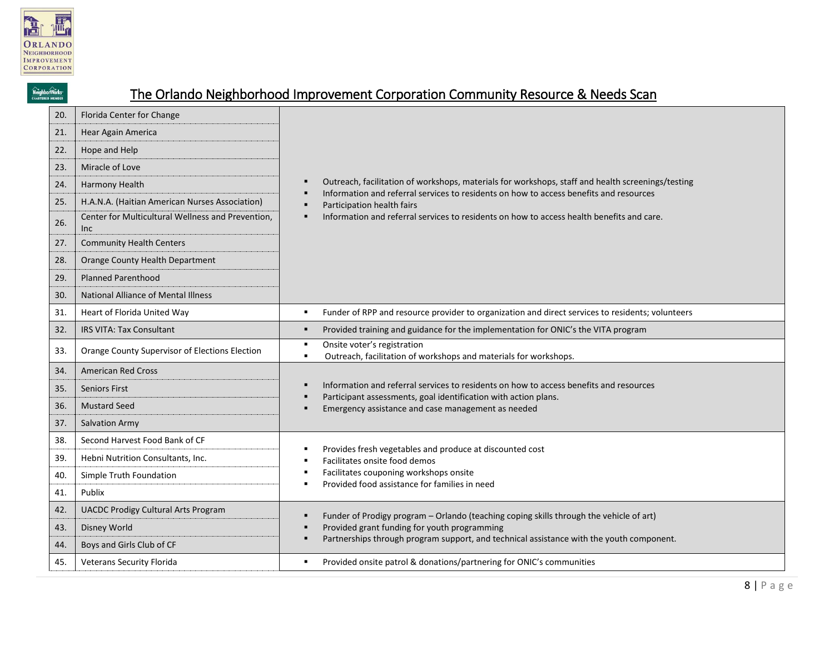

NeighborWorks\*

# The Orlando Neighborhood Improvement Corporation Community Resource & Needs Scan

| 20. | Florida Center for Change                                |                                                                                                                                                                                             |  |  |
|-----|----------------------------------------------------------|---------------------------------------------------------------------------------------------------------------------------------------------------------------------------------------------|--|--|
| 21. | Hear Again America                                       |                                                                                                                                                                                             |  |  |
| 22. | Hope and Help                                            |                                                                                                                                                                                             |  |  |
| 23. | Miracle of Love                                          |                                                                                                                                                                                             |  |  |
| 24. | Harmony Health                                           | Outreach, facilitation of workshops, materials for workshops, staff and health screenings/testing<br>Information and referral services to residents on how to access benefits and resources |  |  |
| 25. | H.A.N.A. (Haitian American Nurses Association)           | Participation health fairs                                                                                                                                                                  |  |  |
| 26. | Center for Multicultural Wellness and Prevention,<br>Inc | Information and referral services to residents on how to access health benefits and care.                                                                                                   |  |  |
| 27. | <b>Community Health Centers</b>                          |                                                                                                                                                                                             |  |  |
| 28. | Orange County Health Department                          |                                                                                                                                                                                             |  |  |
| 29. | <b>Planned Parenthood</b>                                |                                                                                                                                                                                             |  |  |
| 30. | <b>National Alliance of Mental Illness</b>               |                                                                                                                                                                                             |  |  |
| 31. | Heart of Florida United Way                              | Funder of RPP and resource provider to organization and direct services to residents; volunteers<br>٠                                                                                       |  |  |
| 32. | <b>IRS VITA: Tax Consultant</b>                          | Provided training and guidance for the implementation for ONIC's the VITA program<br>$\blacksquare$                                                                                         |  |  |
| 33. | Orange County Supervisor of Elections Election           | Onsite voter's registration<br>٠<br>Outreach, facilitation of workshops and materials for workshops.<br>٠                                                                                   |  |  |
| 34. | <b>American Red Cross</b>                                |                                                                                                                                                                                             |  |  |
| 35. | <b>Seniors First</b>                                     | Information and referral services to residents on how to access benefits and resources<br>Participant assessments, goal identification with action plans.                                   |  |  |
| 36. | <b>Mustard Seed</b>                                      | Emergency assistance and case management as needed                                                                                                                                          |  |  |
| 37. | Salvation Army                                           |                                                                                                                                                                                             |  |  |
| 38. | Second Harvest Food Bank of CF                           | Provides fresh vegetables and produce at discounted cost                                                                                                                                    |  |  |
| 39. | Hebni Nutrition Consultants, Inc.                        | Facilitates onsite food demos                                                                                                                                                               |  |  |
| 40. | Simple Truth Foundation                                  | Facilitates couponing workshops onsite<br>Provided food assistance for families in need                                                                                                     |  |  |
| 41. | Publix                                                   |                                                                                                                                                                                             |  |  |
| 42. | <b>UACDC Prodigy Cultural Arts Program</b>               | Funder of Prodigy program - Orlando (teaching coping skills through the vehicle of art)                                                                                                     |  |  |
| 43. | Disney World                                             | Provided grant funding for youth programming                                                                                                                                                |  |  |
| 44. | Boys and Girls Club of CF                                | Partnerships through program support, and technical assistance with the youth component.                                                                                                    |  |  |
| 45. | <b>Veterans Security Florida</b>                         | Provided onsite patrol & donations/partnering for ONIC's communities<br>٠                                                                                                                   |  |  |